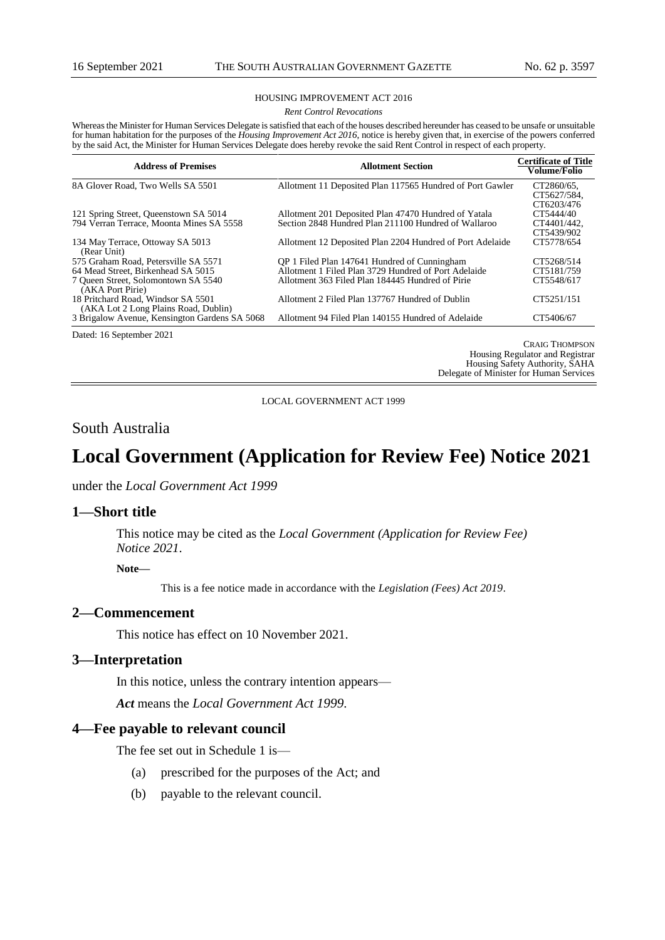#### HOUSING IMPROVEMENT ACT 2016

*Rent Control Revocations*

Whereas the Minister for Human Services Delegate is satisfied that each of the houses described hereunder has ceased to be unsafe or unsuitable for human habitation for the purposes of the *Housing Improvement Act 2016*, notice is hereby given that, in exercise of the powers conferred by the said Act, the Minister for Human Services Delegate does hereby revoke the said Rent Control in respect of each property.

| <b>Address of Premises</b>                                                        | <b>Allotment Section</b>                                                                                     | <b>Certificate of Title</b><br>Volume/Folio          |  |
|-----------------------------------------------------------------------------------|--------------------------------------------------------------------------------------------------------------|------------------------------------------------------|--|
| 8A Glover Road, Two Wells SA 5501                                                 | Allotment 11 Deposited Plan 117565 Hundred of Port Gawler                                                    | CT2860/65.<br>CT5627/584.                            |  |
| 121 Spring Street, Queenstown SA 5014<br>794 Verran Terrace, Moonta Mines SA 5558 | Allotment 201 Deposited Plan 47470 Hundred of Yatala<br>Section 2848 Hundred Plan 211100 Hundred of Wallaroo | CT6203/476<br>CT5444/40<br>CT4401/442.<br>CT5439/902 |  |
| 134 May Terrace, Ottoway SA 5013<br>(Rear Unit)                                   | Allotment 12 Deposited Plan 2204 Hundred of Port Adelaide                                                    | CT5778/654                                           |  |
| 575 Graham Road, Petersville SA 5571                                              | OP 1 Filed Plan 147641 Hundred of Cunningham                                                                 | CT5268/514                                           |  |
| 64 Mead Street, Birkenhead SA 5015                                                | Allotment 1 Filed Plan 3729 Hundred of Port Adelaide                                                         | CT5181/759                                           |  |
| 7 Oueen Street, Solomontown SA 5540<br>(AKA Port Pirie)                           | Allotment 363 Filed Plan 184445 Hundred of Pirie                                                             | CT5548/617                                           |  |
| 18 Pritchard Road, Windsor SA 5501<br>(AKA Lot 2 Long Plains Road, Dublin)        | Allotment 2 Filed Plan 137767 Hundred of Dublin                                                              | CT5251/151                                           |  |
| 3 Brigalow Avenue, Kensington Gardens SA 5068                                     | Allotment 94 Filed Plan 140155 Hundred of Adelaide                                                           | CT5406/67                                            |  |
| $P_1$ , 1160, 10001                                                               |                                                                                                              |                                                      |  |

Dated: 16 September 2021

CRAIG THOMPSON Housing Regulator and Registrar Housing Safety Authority, SAHA Delegate of Minister for Human Services

LOCAL GOVERNMENT ACT 1999

## South Australia

# **Local Government (Application for Review Fee) Notice 2021**

under the *Local Government Act 1999*

#### **1—Short title**

This notice may be cited as the *[Local Government \(Application for Review Fee\)](http://www.legislation.sa.gov.au/index.aspx?action=legref&type=subordleg&legtitle=Motor%20Vehicles%20(Proof%20of%20Age%20Card%20Fees)%20Notice%202020)  [Notice](http://www.legislation.sa.gov.au/index.aspx?action=legref&type=subordleg&legtitle=Motor%20Vehicles%20(Proof%20of%20Age%20Card%20Fees)%20Notice%202020) 2021*.

**Note—**

This is a fee notice made in accordance with the *[Legislation \(Fees\) Act 2019](http://www.legislation.sa.gov.au/index.aspx?action=legref&type=act&legtitle=Legislation%20(Fees)%20Act%202019)*.

### **2—Commencement**

This notice has effect on 10 November 2021.

#### **3—Interpretation**

In this notice, unless the contrary intention appears—

*Act* means the *Local Government Act 1999*.

#### **4—Fee payable to relevant council**

The fee set out in Schedule 1 is—

- (a) prescribed for the purposes of the Act; and
- (b) payable to the relevant council.